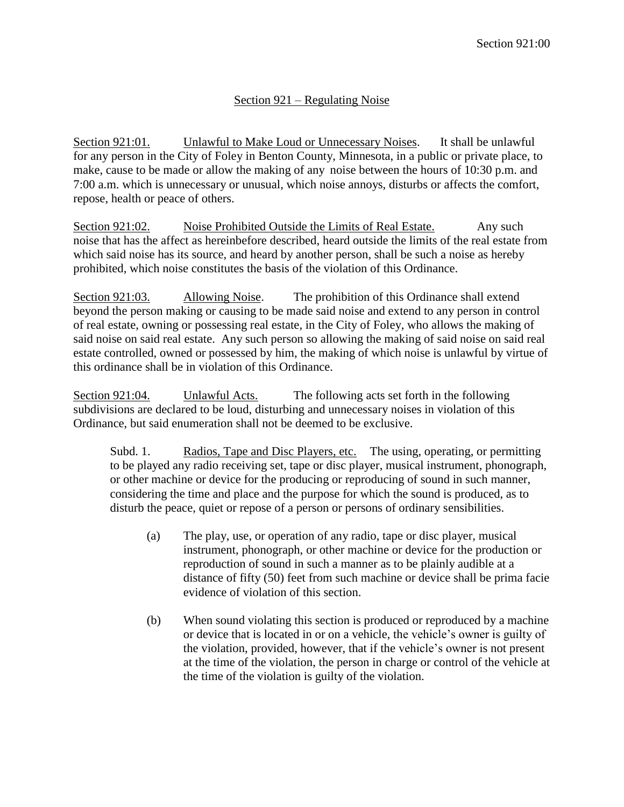## Section 921 – Regulating Noise

Section 921:01. Unlawful to Make Loud or Unnecessary Noises. It shall be unlawful for any person in the City of Foley in Benton County, Minnesota, in a public or private place, to make, cause to be made or allow the making of any noise between the hours of 10:30 p.m. and 7:00 a.m. which is unnecessary or unusual, which noise annoys, disturbs or affects the comfort, repose, health or peace of others.

Section 921:02. Noise Prohibited Outside the Limits of Real Estate. Any such noise that has the affect as hereinbefore described, heard outside the limits of the real estate from which said noise has its source, and heard by another person, shall be such a noise as hereby prohibited, which noise constitutes the basis of the violation of this Ordinance.

Section 921:03. Allowing Noise. The prohibition of this Ordinance shall extend beyond the person making or causing to be made said noise and extend to any person in control of real estate, owning or possessing real estate, in the City of Foley, who allows the making of said noise on said real estate. Any such person so allowing the making of said noise on said real estate controlled, owned or possessed by him, the making of which noise is unlawful by virtue of this ordinance shall be in violation of this Ordinance.

Section 921:04. Unlawful Acts. The following acts set forth in the following subdivisions are declared to be loud, disturbing and unnecessary noises in violation of this Ordinance, but said enumeration shall not be deemed to be exclusive.

Subd. 1. Radios, Tape and Disc Players, etc. The using, operating, or permitting to be played any radio receiving set, tape or disc player, musical instrument, phonograph, or other machine or device for the producing or reproducing of sound in such manner, considering the time and place and the purpose for which the sound is produced, as to disturb the peace, quiet or repose of a person or persons of ordinary sensibilities.

- (a) The play, use, or operation of any radio, tape or disc player, musical instrument, phonograph, or other machine or device for the production or reproduction of sound in such a manner as to be plainly audible at a distance of fifty (50) feet from such machine or device shall be prima facie evidence of violation of this section.
- (b) When sound violating this section is produced or reproduced by a machine or device that is located in or on a vehicle, the vehicle's owner is guilty of the violation, provided, however, that if the vehicle's owner is not present at the time of the violation, the person in charge or control of the vehicle at the time of the violation is guilty of the violation.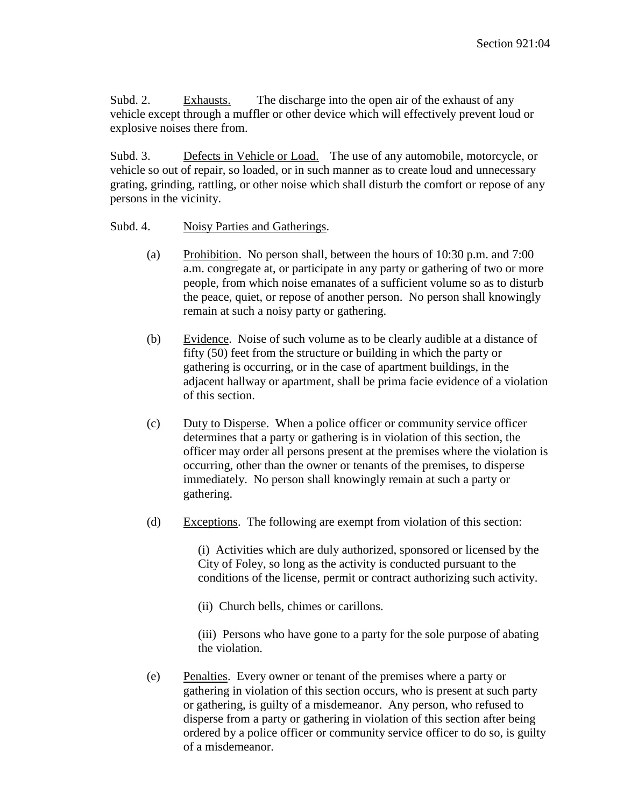Subd. 2. Exhausts. The discharge into the open air of the exhaust of any vehicle except through a muffler or other device which will effectively prevent loud or explosive noises there from.

Subd. 3. Defects in Vehicle or Load. The use of any automobile, motorcycle, or vehicle so out of repair, so loaded, or in such manner as to create loud and unnecessary grating, grinding, rattling, or other noise which shall disturb the comfort or repose of any persons in the vicinity.

## Subd. 4. Noisy Parties and Gatherings.

- (a) Prohibition. No person shall, between the hours of 10:30 p.m. and 7:00 a.m. congregate at, or participate in any party or gathering of two or more people, from which noise emanates of a sufficient volume so as to disturb the peace, quiet, or repose of another person. No person shall knowingly remain at such a noisy party or gathering.
- (b) Evidence. Noise of such volume as to be clearly audible at a distance of fifty (50) feet from the structure or building in which the party or gathering is occurring, or in the case of apartment buildings, in the adjacent hallway or apartment, shall be prima facie evidence of a violation of this section.
- (c) Duty to Disperse. When a police officer or community service officer determines that a party or gathering is in violation of this section, the officer may order all persons present at the premises where the violation is occurring, other than the owner or tenants of the premises, to disperse immediately. No person shall knowingly remain at such a party or gathering.
- (d) Exceptions. The following are exempt from violation of this section:

(i) Activities which are duly authorized, sponsored or licensed by the City of Foley, so long as the activity is conducted pursuant to the conditions of the license, permit or contract authorizing such activity.

(ii) Church bells, chimes or carillons.

(iii) Persons who have gone to a party for the sole purpose of abating the violation.

(e) Penalties. Every owner or tenant of the premises where a party or gathering in violation of this section occurs, who is present at such party or gathering, is guilty of a misdemeanor. Any person, who refused to disperse from a party or gathering in violation of this section after being ordered by a police officer or community service officer to do so, is guilty of a misdemeanor.